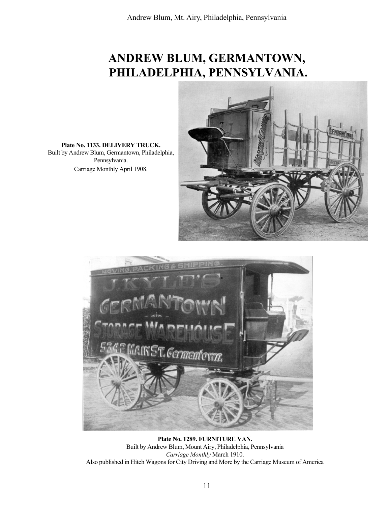## ANDREW BLUM, GERMANTOWN, PHILADELPHIA, PENNSYLVANIA.



Plate No. 1133. DELIVERY TRUCK. Built by Andrew Blum, Germantown, Philadelphia, Pennsylvania. Carriage Monthly April 1908.



Plate No. 1289. FURNITURE VAN. Built by Andrew Blum, Mount Airy, Philadelphia, Pennsylvania Carriage Monthly March 1910. Also published in Hitch Wagons for City Driving and More by the Carriage Museum of America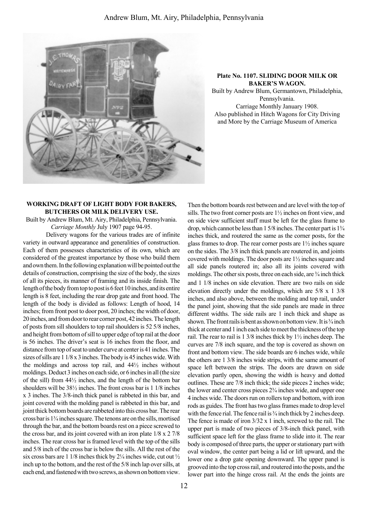

## Plate No. 1107. SLIDING DOOR MILK OR BAKER'S WAGON.

Built by Andrew Blum, Germantown, Philadelphia, Pennsylvania. Carriage Monthly January 1908. Also published in Hitch Wagons for City Driving and More by the Carriage Museum of America

## WORKING DRAFT OF LIGHT BODY FOR BAKERS, BUTCHERS OR MILK DELIVERY USE.

Built by Andrew Blum, Mt. Airy, Philadelphia, Pennsylvania. Carriage Monthly July 1907 page 94-95.

Delivery wagons for the various trades are of infinite variety in outward appearance and generalities of construction. Each of them possesses characteristics of its own, which are considered of the greatest importance by those who build them and own them. In the following explanation will be pointed out the details of construction, comprising the size of the body, the sizes of all its pieces, its manner of framing and its inside finish. The length of the body from top to post is 6 feet 10 inches, and its entire length is 8 feet, including the rear drop gate and front hood. The length of the body is divided as follows: Length of hood, 14 inches; from front post to door post, 20 inches; the width of door, 20 inches, and from door to rear corner post, 42 inches. The length of posts from sill shoulders to top rail shoulders is 52 5/8 inches, and height from bottom of sill to upper edge of top rail at the door is 56 inches. The driver's seat is 16 inches from the floor, and distance from top of seat to under curve at center is 41 inches. The sizes of sills are 1 1/8 x 3 inches. The body is 45 inches wide. With the moldings and across top rail, and 44½ inches without moldings. Deduct 3 inches on each side, or 6 inches in all (the size of the sill) from 44½ inches, and the length of the bottom bar shoulders will be 38½ inches. The front cross bar is 1 1/8 inches x 3 inches. The 3/8-inch thick panel is rabbeted in this bar, and joint covered with the molding panel is rabbeted in this bar, and joint thick bottom boards are rabbeted into this cross bar. The rear cross bar is  $1\frac{3}{4}$  inches square. The tenons are on the sills, mortised through the bar, and the bottom boards rest on a piece screwed to the cross bar, and its joint covered with an iron plate 1/8 x 2 7/8 inches. The rear cross bar is framed level with the top of the sills and 5/8 inch of the cross bar is below the sills. All the rest of the six cross bars are 1 1/8 inches thick by  $2\frac{1}{4}$  inches wide, cut out  $\frac{1}{2}$ inch up to the bottom, and the rest of the 5/8 inch lap over sills, at each end, and fastened with two screws, as shown on bottom view.

Then the bottom boards rest between and are level with the top of sills. The two front corner posts are 1½ inches on front view, and on side view sufficient stuff must be left for the glass frame to drop, which cannot be less than  $15/8$  inches. The center part is  $1\frac{3}{4}$ inches thick, and routered the same as the corner posts, for the glass frames to drop. The rear corner posts are 1½ inches square on the sides. The 3/8 inch thick panels are routered in, and joints covered with moldings. The door posts are 1½ inches square and all side panels routered in; also all its joints covered with moldings. The other six posts, three on each side, are  $\frac{3}{4}$  inch thick and 1 1/8 inches on side elevation. There are two rails on side elevation directly under the moldings, which are 5/8 x 1 3/8 inches, and also above, between the molding and top rail, under the panel joint, showing that the side panels are made in three different widths. The side rails are 1 inch thick and shape as shown. The front rails is bent as shown on bottom view. It is  $\frac{3}{4}$  inch thick at center and 1 inch each side to meet the thickness of the top rail. The rear to rail is 1 3/8 inches thick by 1½ inches deep. The curves are 7/8 inch square, and the top is covered as shown on front and bottom view. The side boards are 6 inches wide, while the others are 1 3/8 inches wide strips, with the same amount of space left between the strips. The doors are drawn on side elevation partly open, showing the width is heavy and dotted outlines. These are 7/8 inch thick; the side pieces 2 inches wide; the lower and center cross pieces  $2\frac{3}{4}$  inches wide, and upper one 4 inches wide. The doors run on rollers top and bottom, with iron rods as guides. The front has two glass frames made to drop level with the fence rial. The fence rail is  $\frac{3}{4}$  inch thick by 2 inches deep. The fence is made of iron 3/32 x 1 inch, screwed to the rail. The upper part is made of two pieces of 3/8-inch thick panel, with sufficient space left for the glass frame to slide into it. The rear body is composed of three parts, the upper or stationary part with oval window, the center part being a lid or lift upward, and the lower one a drop gate opening downward. The upper panel is grooved into the top cross rail, and routered into the posts, and the lower part into the hinge cross rail. At the ends the joints are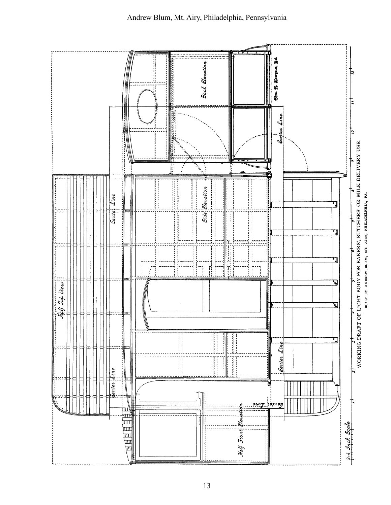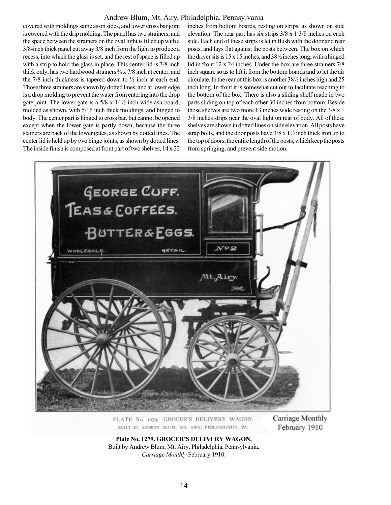## Andrew Blum, Mt. Airy, Philadelphia, Pennsylvania

covered with moldings same as on sides, and lower cross bar joint is covered with the drip molding. The panel has two strainers, and the space between the strainers on the oval light is filled up with a 3/8-inch thick panel cut away 3/8 inch from the light to produce a recess, into which the glass is set, and the rest of space is filled up with a strip to hold the glass in place. This center lid is  $3/8$  inch thick only, has two hardwood strainers  $\frac{3}{4} \times \frac{7}{8}$  inch at center, and the 7/8-inch thickness is tapered down to  $\frac{1}{2}$  inch at each end. Those three strainers are shown by dotted lines, and at lower edge is a drop molding to prevent the water from entering into the drop gate joint. The lower gate is a 5/8 x 14½-inch wide ash board, molded as shown, with 5/16 inch thick moldings, and hinged to body. The center part is hinged to cross bar, but cannot be opened except when the lower gate is partly down, because the three stainers are back of the lower gates, as shown by dotted lines. The center lid is held up by two hinge joints, as shown by dotted lines. The inside finish is composed at front part of two shelves, 14 x 22

inches from bottom boards, resting on strips, as shown on side elevation. The rear part has six strips 3/8 x 1 3/8 inches on each side. Each end of these strips is let in flush with the door and rear posts, and lays flat against the posts between. The box on which the driver sits is  $15 \times 15$  inches, and  $38\frac{1}{2}$  inches long, with a hinged lid in front 12 x 24 inches. Under the box are three strainers 7/8 inch square so as to lift it from the bottom boards and to let the air circulate. In the rear of this box is another 38½ inches high and 25 inch long. In front it is somewhat cut out to facilitate reaching to the bottom of the box. There is also a sliding shelf made in two parts sliding on top of each other 30 inches from bottom. Beside those shelves are two more 13 inches wide resting on the 3/8 x 1 3/8 inches strips near the oval light on rear of body. All of these shelves are shown in dotted lines on side elevation. All posts have strap bolts, and the door posts have  $3/8 \times 1\frac{1}{2}$  inch thick iron up to the top of doors, the entire length of the posts, which keep the posts from springing, and prevent side motion.



PLATE No. 1279. GROCER'S DELIVERY WAGON. BUILT BY ANDREW BLUM, MT. AIRY, PHILADELPHIA, PA.

Carriage Monthly February 1910

Plate No. 1279. GROCER'S DELIVERY WAGON. Built by Andrew Blum, Mt. Airy, Philadelphia, Pennsylvania. Carriage Monthly February 1910.